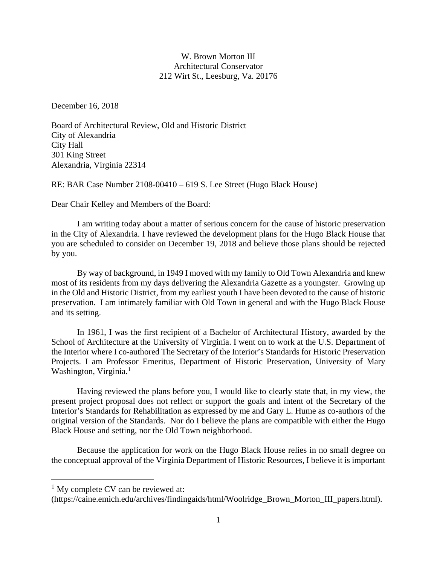## W. Brown Morton III Architectural Conservator 212 Wirt St., Leesburg, Va. 20176

December 16, 2018

Board of Architectural Review, Old and Historic District City of Alexandria City Hall 301 King Street Alexandria, Virginia 22314

RE: BAR Case Number 2108-00410 – 619 S. Lee Street (Hugo Black House)

Dear Chair Kelley and Members of the Board:

I am writing today about a matter of serious concern for the cause of historic preservation in the City of Alexandria. I have reviewed the development plans for the Hugo Black House that you are scheduled to consider on December 19, 2018 and believe those plans should be rejected by you.

By way of background, in 1949 I moved with my family to Old Town Alexandria and knew most of its residents from my days delivering the Alexandria Gazette as a youngster. Growing up in the Old and Historic District, from my earliest youth I have been devoted to the cause of historic preservation. I am intimately familiar with Old Town in general and with the Hugo Black House and its setting.

In 1961, I was the first recipient of a Bachelor of Architectural History, awarded by the School of Architecture at the University of Virginia. I went on to work at the U.S. Department of the Interior where I co-authored The Secretary of the Interior's Standards for Historic Preservation Projects. I am Professor Emeritus, Department of Historic Preservation, University of Mary Washington, Virginia.<sup>[1](#page-0-0)</sup>

Having reviewed the plans before you, I would like to clearly state that, in my view, the present project proposal does not reflect or support the goals and intent of the Secretary of the Interior's Standards for Rehabilitation as expressed by me and Gary L. Hume as co-authors of the original version of the Standards. Nor do I believe the plans are compatible with either the Hugo Black House and setting, nor the Old Town neighborhood.

Because the application for work on the Hugo Black House relies in no small degree on the conceptual approval of the Virginia Department of Historic Resources, I believe it is important

<span id="page-0-0"></span> $1$  My complete CV can be reviewed at:

[<sup>\(</sup>https://caine.emich.edu/archives/findingaids/html/Woolridge\\_Brown\\_Morton\\_III\\_papers.html\)](https://caine.emich.edu/archives/findingaids/html/Woolridge_Brown_Morton_III_papers.html).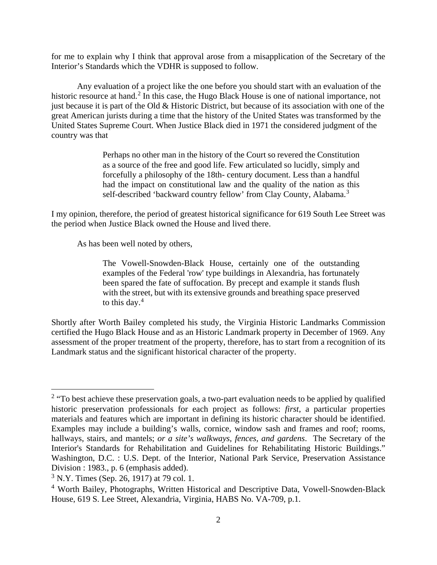for me to explain why I think that approval arose from a misapplication of the Secretary of the Interior's Standards which the VDHR is supposed to follow.

Any evaluation of a project like the one before you should start with an evaluation of the historic resource at hand.<sup>[2](#page-1-0)</sup> In this case, the Hugo Black House is one of national importance, not just because it is part of the Old & Historic District, but because of its association with one of the great American jurists during a time that the history of the United States was transformed by the United States Supreme Court. When Justice Black died in 1971 the considered judgment of the country was that

> Perhaps no other man in the history of the Court so revered the Constitution as a source of the free and good life. Few articulated so lucidly, simply and forcefully a philosophy of the 18th- century document. Less than a handful had the impact on constitutional law and the quality of the nation as this self-described 'backward country fellow' from Clay County, Alabama.<sup>[3](#page-1-1)</sup>

I my opinion, therefore, the period of greatest historical significance for 619 South Lee Street was the period when Justice Black owned the House and lived there.

As has been well noted by others,

The Vowell-Snowden-Black House, certainly one of the outstanding examples of the Federal 'row' type buildings in Alexandria, has fortunately been spared the fate of suffocation. By precept and example it stands flush with the street, but with its extensive grounds and breathing space preserved to this day. $4$ 

Shortly after Worth Bailey completed his study, the Virginia Historic Landmarks Commission certified the Hugo Black House and as an Historic Landmark property in December of 1969. Any assessment of the proper treatment of the property, therefore, has to start from a recognition of its Landmark status and the significant historical character of the property.

<span id="page-1-0"></span><sup>&</sup>lt;sup>2</sup> "To best achieve these preservation goals, a two-part evaluation needs to be applied by qualified historic preservation professionals for each project as follows: *first*, a particular properties materials and features which are important in defining its historic character should be identified. Examples may include a building's walls, cornice, window sash and frames and roof; rooms, hallways, stairs, and mantels; *or a site's walkways, fences, and gardens*. The Secretary of the Interior's Standards for Rehabilitation and Guidelines for Rehabilitating Historic Buildings." Washington, D.C. : U.S. Dept. of the Interior, National Park Service, Preservation Assistance Division : 1983., p. 6 (emphasis added).

<span id="page-1-1"></span><sup>3</sup> N.Y. Times (Sep. 26, 1917) at 79 col. 1.

<span id="page-1-2"></span><sup>4</sup> Worth Bailey, Photographs, Written Historical and Descriptive Data, Vowell-Snowden-Black House, 619 S. Lee Street, Alexandria, Virginia, HABS No. VA-709, p.1.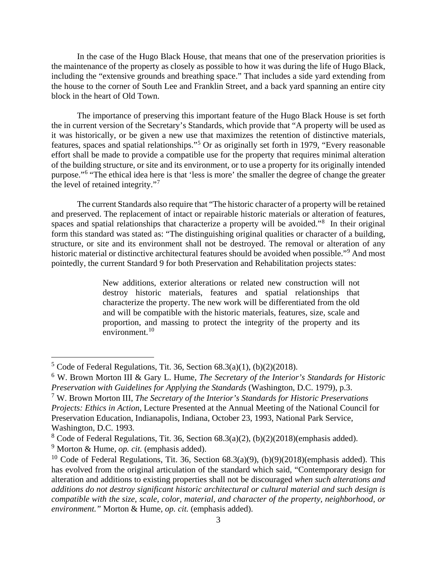In the case of the Hugo Black House, that means that one of the preservation priorities is the maintenance of the property as closely as possible to how it was during the life of Hugo Black, including the "extensive grounds and breathing space." That includes a side yard extending from the house to the corner of South Lee and Franklin Street, and a back yard spanning an entire city block in the heart of Old Town.

The importance of preserving this important feature of the Hugo Black House is set forth the in current version of the Secretary's Standards, which provide that "A property will be used as it was historically, or be given a new use that maximizes the retention of distinctive materials, features, spaces and spatial relationships."[5](#page-2-0) Or as originally set forth in 1979, "Every reasonable effort shall be made to provide a compatible use for the property that requires minimal alteration of the building structure, or site and its environment, or to use a property for its originally intended purpose."[6](#page-2-1) "The ethical idea here is that 'less is more' the smaller the degree of change the greater the level of retained integrity."[7](#page-2-2)

The current Standards also require that "The historic character of a property will be retained and preserved. The replacement of intact or repairable historic materials or alteration of features, spaces and spatial relationships that characterize a property will be avoided."<sup>[8](#page-2-3)</sup> In their original form this standard was stated as: "The distinguishing original qualities or character of a building, structure, or site and its environment shall not be destroyed. The removal or alteration of any historic material or distinctive architectural features should be avoided when possible."<sup>[9](#page-2-4)</sup> And most pointedly, the current Standard 9 for both Preservation and Rehabilitation projects states:

> New additions, exterior alterations or related new construction will not destroy historic materials, features and spatial relationships that characterize the property. The new work will be differentiated from the old and will be compatible with the historic materials, features, size, scale and proportion, and massing to protect the integrity of the property and its environment. $10$

<span id="page-2-0"></span><sup>&</sup>lt;sup>5</sup> Code of Federal Regulations, Tit. 36, Section  $68.3(a)(1)$ ,  $(b)(2)(2018)$ .

<span id="page-2-1"></span><sup>6</sup> W. Brown Morton III & Gary L. Hume, *The Secretary of the Interior's Standards for Historic Preservation with Guidelines for Applying the Standards* (Washington, D.C. 1979), p.3.

<span id="page-2-2"></span><sup>7</sup> W. Brown Morton III, *The Secretary of the Interior's Standards for Historic Preservations Projects: Ethics in Action,* Lecture Presented at the Annual Meeting of the National Council for Preservation Education, Indianapolis, Indiana, October 23, 1993, National Park Service, Washington, D.C. 1993.

<span id="page-2-3"></span><sup>8</sup> Code of Federal Regulations, Tit. 36, Section 68.3(a)(2), (b)(2)(2018)(emphasis added).

<span id="page-2-4"></span><sup>9</sup> Morton & Hume, *op. cit.* (emphasis added).

<span id="page-2-5"></span><sup>&</sup>lt;sup>10</sup> Code of Federal Regulations, Tit. 36, Section  $68.3(a)(9)$ ,  $(b)(9)(2018)$ (emphasis added). This has evolved from the original articulation of the standard which said, "Contemporary design for alteration and additions to existing properties shall not be discouraged *when such alterations and additions do not destroy significant historic architectural or cultural material and such design is compatible with the size, scale, color, material, and character of the property, neighborhood, or environment."* Morton & Hume*, op. cit.* (emphasis added).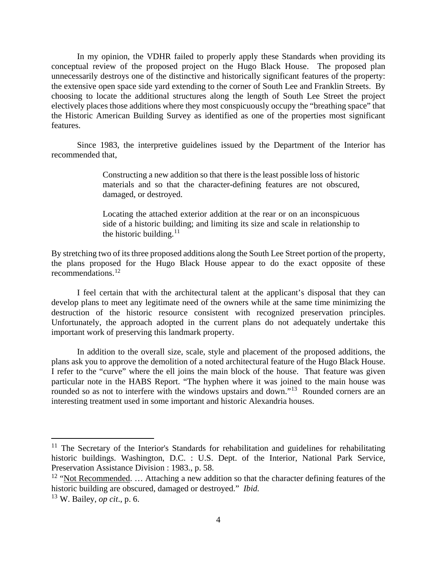In my opinion, the VDHR failed to properly apply these Standards when providing its conceptual review of the proposed project on the Hugo Black House. The proposed plan unnecessarily destroys one of the distinctive and historically significant features of the property: the extensive open space side yard extending to the corner of South Lee and Franklin Streets. By choosing to locate the additional structures along the length of South Lee Street the project electively places those additions where they most conspicuously occupy the "breathing space" that the Historic American Building Survey as identified as one of the properties most significant features.

Since 1983, the interpretive guidelines issued by the Department of the Interior has recommended that,

> Constructing a new addition so that there is the least possible loss of historic materials and so that the character-defining features are not obscured, damaged, or destroyed.

> Locating the attached exterior addition at the rear or on an inconspicuous side of a historic building; and limiting its size and scale in relationship to the historic building. $11$

By stretching two of its three proposed additions along the South Lee Street portion of the property, the plans proposed for the Hugo Black House appear to do the exact opposite of these recommendations.[12](#page-3-1)

I feel certain that with the architectural talent at the applicant's disposal that they can develop plans to meet any legitimate need of the owners while at the same time minimizing the destruction of the historic resource consistent with recognized preservation principles. Unfortunately, the approach adopted in the current plans do not adequately undertake this important work of preserving this landmark property.

In addition to the overall size, scale, style and placement of the proposed additions, the plans ask you to approve the demolition of a noted architectural feature of the Hugo Black House. I refer to the "curve" where the ell joins the main block of the house. That feature was given particular note in the HABS Report. "The hyphen where it was joined to the main house was rounded so as not to interfere with the windows upstairs and down."<sup>[13](#page-3-2)</sup> Rounded corners are an interesting treatment used in some important and historic Alexandria houses.

<span id="page-3-0"></span><sup>&</sup>lt;sup>11</sup> The Secretary of the Interior's Standards for rehabilitation and guidelines for rehabilitating historic buildings. Washington, D.C. : U.S. Dept. of the Interior, National Park Service, Preservation Assistance Division : 1983., p. 58.

<span id="page-3-1"></span><sup>&</sup>lt;sup>12</sup> "Not Recommended. ... Attaching a new addition so that the character defining features of the historic building are obscured, damaged or destroyed." *Ibid.*

<span id="page-3-2"></span><sup>13</sup> W. Bailey, *op cit*., p. 6.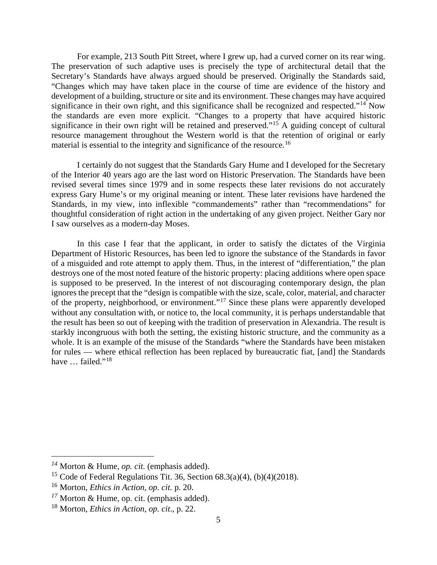For example, 213 South Pitt Street, where I grew up, had a curved corner on its rear wing. The preservation of such adaptive uses is precisely the type of architectural detail that the Secretary's Standards have always argued should be preserved. Originally the Standards said, "Changes which may have taken place in the course of time are evidence of the history and development of a building, structure or site and its environment. These changes may have acquired significance in their own right, and this significance shall be recognized and respected."<sup>[14](#page-4-0)</sup> Now the standards are even more explicit. "Changes to a property that have acquired historic significance in their own right will be retained and preserved."<sup>[15](#page-4-1)</sup> A guiding concept of cultural resource management throughout the Western world is that the retention of original or early material is essential to the integrity and significance of the resource.<sup>[16](#page-4-2)</sup>

I certainly do not suggest that the Standards Gary Hume and I developed for the Secretary of the Interior 40 years ago are the last word on Historic Preservation. The Standards have been revised several times since 1979 and in some respects these later revisions do not accurately express Gary Hume's or my original meaning or intent. These later revisions have hardened the Standards, in my view, into inflexible "commandements" rather than "recommendations" for thoughtful consideration of right action in the undertaking of any given project. Neither Gary nor I saw ourselves as a modern-day Moses.

In this case I fear that the applicant, in order to satisfy the dictates of the Virginia Department of Historic Resources, has been led to ignore the substance of the Standards in favor of a misguided and rote attempt to apply them. Thus, in the interest of "differentiation," the plan destroys one of the most noted feature of the historic property: placing additions where open space is supposed to be preserved. In the interest of not discouraging contemporary design, the plan ignores the precept that the "design is compatible with the size, scale, color, material, and character of the property, neighborhood, or environment."[17](#page-4-3) Since these plans were apparently developed without any consultation with, or notice to, the local community, it is perhaps understandable that the result has been so out of keeping with the tradition of preservation in Alexandria. The result is starkly incongruous with both the setting, the existing historic structure, and the community as a whole. It is an example of the misuse of the Standards "where the Standards have been mistaken for rules — where ethical reflection has been replaced by bureaucratic fiat, [and] the Standards have ... failed."<sup>[18](#page-4-4)</sup>

 $\overline{a}$ 

<span id="page-4-0"></span>*<sup>14</sup>* Morton & Hume, *op. cit.* (emphasis added).

<span id="page-4-1"></span><sup>&</sup>lt;sup>15</sup> Code of Federal Regulations Tit. 36, Section  $68.3(a)(4)$ ,  $(b)(4)(2018)$ .

<span id="page-4-2"></span><sup>16</sup> Morton, *Ethics in Action*, *op. cit.* p. 20.

<span id="page-4-3"></span>*<sup>17</sup>* Morton & Hume, op. cit. (emphasis added).

<span id="page-4-4"></span><sup>18</sup> Morton, *Ethics in Action*, *op. cit*., p. 22.